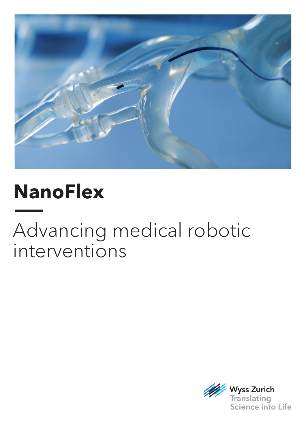

# **NanoFlex**

# Advancing medical robotic interventions